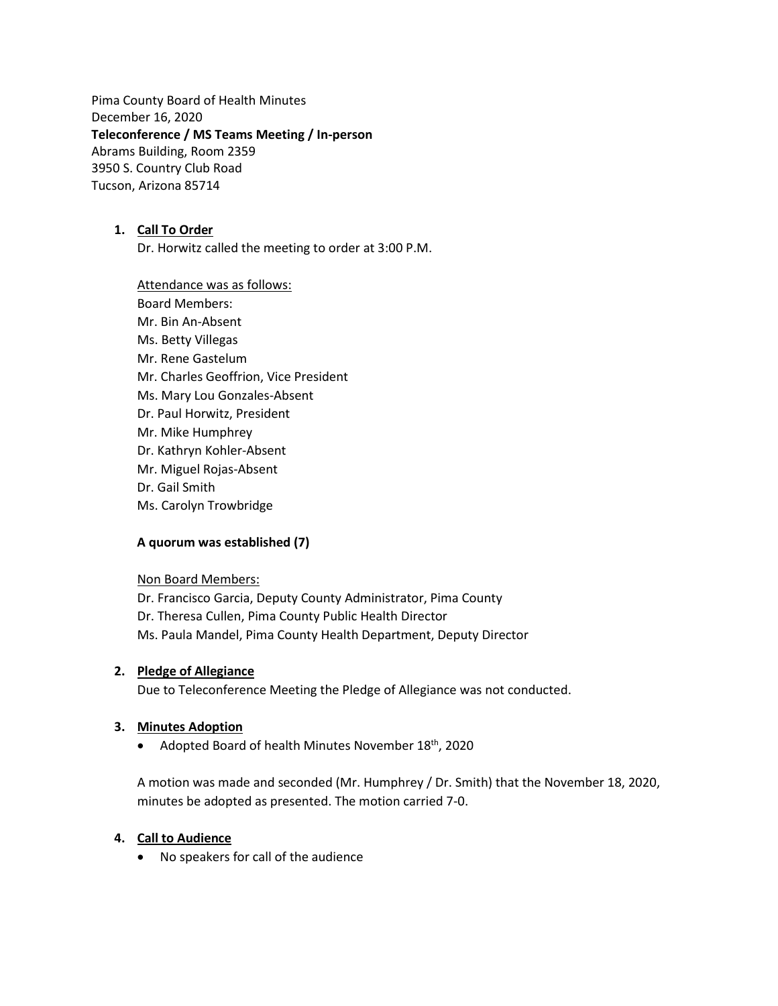Pima County Board of Health Minutes December 16, 2020 **Teleconference / MS Teams Meeting / In-person** Abrams Building, Room 2359 3950 S. Country Club Road Tucson, Arizona 85714

## **1. Call To Order**

Dr. Horwitz called the meeting to order at 3:00 P.M.

Attendance was as follows: Board Members: Mr. Bin An-Absent Ms. Betty Villegas Mr. Rene Gastelum Mr. Charles Geoffrion, Vice President Ms. Mary Lou Gonzales-Absent Dr. Paul Horwitz, President Mr. Mike Humphrey Dr. Kathryn Kohler-Absent Mr. Miguel Rojas-Absent Dr. Gail Smith Ms. Carolyn Trowbridge

## **A quorum was established (7)**

Non Board Members:

Dr. Francisco Garcia, Deputy County Administrator, Pima County Dr. Theresa Cullen, Pima County Public Health Director Ms. Paula Mandel, Pima County Health Department, Deputy Director

#### **2. Pledge of Allegiance**

Due to Teleconference Meeting the Pledge of Allegiance was not conducted.

#### **3. Minutes Adoption**

• Adopted Board of health Minutes November 18<sup>th</sup>, 2020

A motion was made and seconded (Mr. Humphrey / Dr. Smith) that the November 18, 2020, minutes be adopted as presented. The motion carried 7-0.

#### **4. Call to Audience**

• No speakers for call of the audience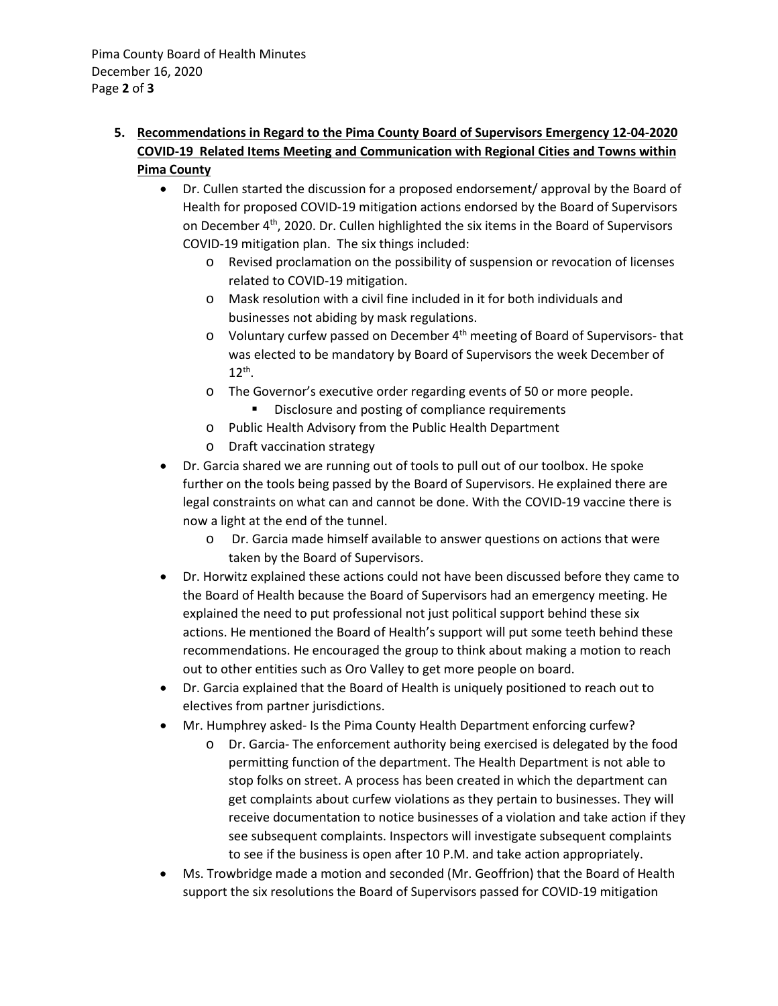# **5. Recommendations in Regard to the Pima County Board of Supervisors Emergency 12-04-2020 COVID-19 Related Items Meeting and Communication with Regional Cities and Towns within Pima County**

- Dr. Cullen started the discussion for a proposed endorsement/ approval by the Board of Health for proposed COVID-19 mitigation actions endorsed by the Board of Supervisors on December 4th, 2020. Dr. Cullen highlighted the six items in the Board of Supervisors COVID-19 mitigation plan. The six things included:
	- o Revised proclamation on the possibility of suspension or revocation of licenses related to COVID-19 mitigation.
	- o Mask resolution with a civil fine included in it for both individuals and businesses not abiding by mask regulations.
	- o Voluntary curfew passed on December 4th meeting of Board of Supervisors- that was elected to be mandatory by Board of Supervisors the week December of  $12^{th}$ .
	- o The Governor's executive order regarding events of 50 or more people.
		- **Disclosure and posting of compliance requirements**
	- o Public Health Advisory from the Public Health Department
	- o Draft vaccination strategy
- Dr. Garcia shared we are running out of tools to pull out of our toolbox. He spoke further on the tools being passed by the Board of Supervisors. He explained there are legal constraints on what can and cannot be done. With the COVID-19 vaccine there is now a light at the end of the tunnel.
	- o Dr. Garcia made himself available to answer questions on actions that were taken by the Board of Supervisors.
- Dr. Horwitz explained these actions could not have been discussed before they came to the Board of Health because the Board of Supervisors had an emergency meeting. He explained the need to put professional not just political support behind these six actions. He mentioned the Board of Health's support will put some teeth behind these recommendations. He encouraged the group to think about making a motion to reach out to other entities such as Oro Valley to get more people on board.
- Dr. Garcia explained that the Board of Health is uniquely positioned to reach out to electives from partner jurisdictions.
- Mr. Humphrey asked- Is the Pima County Health Department enforcing curfew?
	- o Dr. Garcia- The enforcement authority being exercised is delegated by the food permitting function of the department. The Health Department is not able to stop folks on street. A process has been created in which the department can get complaints about curfew violations as they pertain to businesses. They will receive documentation to notice businesses of a violation and take action if they see subsequent complaints. Inspectors will investigate subsequent complaints to see if the business is open after 10 P.M. and take action appropriately.
- Ms. Trowbridge made a motion and seconded (Mr. Geoffrion) that the Board of Health support the six resolutions the Board of Supervisors passed for COVID-19 mitigation